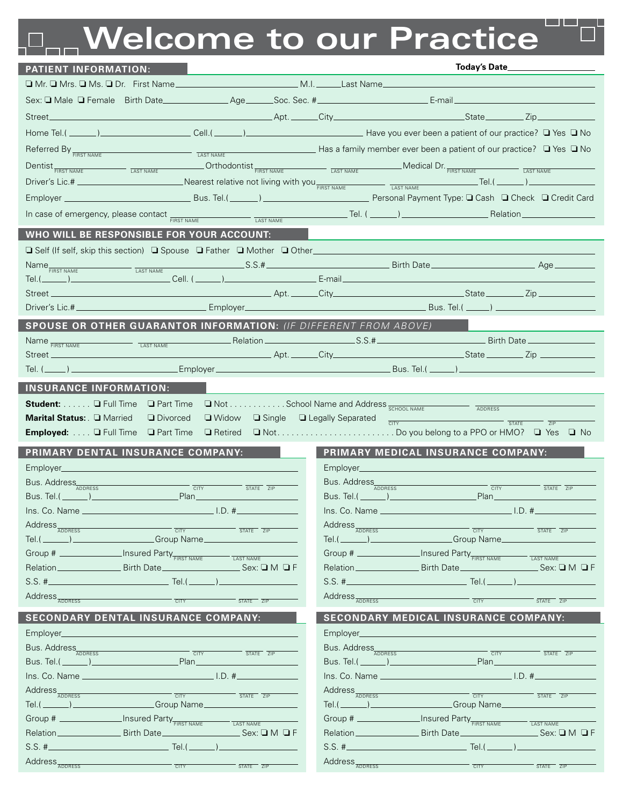## **Welcome to our Practice**

| <b>PATIENT INFORMATION:</b>                                                                                                                                                                                                                                                                |                                                                                                                                                                                                                                                                     |
|--------------------------------------------------------------------------------------------------------------------------------------------------------------------------------------------------------------------------------------------------------------------------------------------|---------------------------------------------------------------------------------------------------------------------------------------------------------------------------------------------------------------------------------------------------------------------|
|                                                                                                                                                                                                                                                                                            |                                                                                                                                                                                                                                                                     |
|                                                                                                                                                                                                                                                                                            |                                                                                                                                                                                                                                                                     |
| Street_                                                                                                                                                                                                                                                                                    | enter the contract of the contract of the contract of the contract of the contract of the contract of the contract of the contract of the contract of the contract of the contract of the contract of the contract of the cont                                      |
|                                                                                                                                                                                                                                                                                            |                                                                                                                                                                                                                                                                     |
| Referred By $F_{\text{FIRST NAME}}$ $\Box$ No $\Box$ No $\Box$ No $\Box$ No $\Box$ No $\Box$ No $\Box$ No $\Box$ No $\Box$ No $\Box$ No $\Box$ No $\Box$ No $\Box$ No $\Box$ No $\Box$ No $\Box$ No $\Box$ No $\Box$ No $\Box$ No $\Box$ No $\Box$ No $\Box$ No $\Box$ No $\Box$ No $\Box$ |                                                                                                                                                                                                                                                                     |
|                                                                                                                                                                                                                                                                                            | $\text{AST NAME}$ $\text{Orr}$ $\text{AST NAME}$ $\text{AST NAME}$ $\text{AST NAME}$ $\text{AST NAME}$ $\text{AST}$ $\text{AMS}$ $\text{AST}$ $\text{AMS}$ $\text{AST NAME}$ $\text{AST NAME}$ $\text{AST NAME}$                                                    |
| Dentist <sub>FIRST NAME</sub><br>LAST NAME<br>Driver's Lic.# ________________________________Nearest relative not living with you FIRST NAME TAST NAME TAST NAME                                                                                                                           |                                                                                                                                                                                                                                                                     |
|                                                                                                                                                                                                                                                                                            |                                                                                                                                                                                                                                                                     |
|                                                                                                                                                                                                                                                                                            |                                                                                                                                                                                                                                                                     |
| In case of emergency, please contact <b>FIRST NAME</b><br>LAST NAME                                                                                                                                                                                                                        |                                                                                                                                                                                                                                                                     |
| WHO WILL BE RESPONSIBLE FOR YOUR ACCOUNT:                                                                                                                                                                                                                                                  |                                                                                                                                                                                                                                                                     |
| □ Self (If self, skip this section) □ Spouse □ Father □ Mother □ Other                                                                                                                                                                                                                     |                                                                                                                                                                                                                                                                     |
|                                                                                                                                                                                                                                                                                            |                                                                                                                                                                                                                                                                     |
| $Tel.(\_\_\_\_)$                                                                                                                                                                                                                                                                           | <u>. A shekara ta 1989 - Kasara ta 1989 - Kasara ta 1989 - Kasara ta 1989 - Kasara ta 1989 - Kasara ta 1989 - Ka</u>                                                                                                                                                |
|                                                                                                                                                                                                                                                                                            |                                                                                                                                                                                                                                                                     |
|                                                                                                                                                                                                                                                                                            |                                                                                                                                                                                                                                                                     |
| SPOUSE OR OTHER GUARANTOR INFORMATION: (IF DIFFERENT FROM ABOVE)                                                                                                                                                                                                                           |                                                                                                                                                                                                                                                                     |
| Name FIRST NAME<br>LAST NAME                                                                                                                                                                                                                                                               |                                                                                                                                                                                                                                                                     |
| Street_                                                                                                                                                                                                                                                                                    | and the state and a state and a state and a state state and state state state state state state state state state state state state state state state state state state state state state state state state state state state<br>Bus. Tel.( ______) _______________ |
|                                                                                                                                                                                                                                                                                            |                                                                                                                                                                                                                                                                     |
| <b>INSURANCE INFORMATION:</b>                                                                                                                                                                                                                                                              |                                                                                                                                                                                                                                                                     |
| Student: <b>Q</b> Full Time<br>□ Part Time<br>□ Widow □ Single □ Legally Separated                                                                                                                                                                                                         | ■ Not School Name and Address <sub>SCHOOL NAME</sub><br>ADDRESS                                                                                                                                                                                                     |
| Marital Status: Q Married<br><b>Divorced</b>                                                                                                                                                                                                                                               |                                                                                                                                                                                                                                                                     |
|                                                                                                                                                                                                                                                                                            | $\frac{1}{C(17) \cdot C(17)}$<br><b>STATE</b><br>ZIP                                                                                                                                                                                                                |
| Employed: <b>Q</b> Full Time                                                                                                                                                                                                                                                               |                                                                                                                                                                                                                                                                     |
| PRIMARY DENTAL INSURANCE COMPANY:                                                                                                                                                                                                                                                          | PRIMARY MEDICAL INSURANCE COMPANY:                                                                                                                                                                                                                                  |
|                                                                                                                                                                                                                                                                                            | Employer                                                                                                                                                                                                                                                            |
| Bus. Address<br>$T = 2P$                                                                                                                                                                                                                                                                   | Bus. Address<br>CITY<br>STATE ZIP                                                                                                                                                                                                                                   |
| <u>Bus. Tel.(_______)________________________</u><br>_Plan________________                                                                                                                                                                                                                 | <u>Bus. Tel.(________)_________________________</u><br>.Plan____________                                                                                                                                                                                            |
|                                                                                                                                                                                                                                                                                            |                                                                                                                                                                                                                                                                     |
| Address <sub>ADDRESS</sub><br><b>CITY</b><br>STATE ZIP                                                                                                                                                                                                                                     | Address <sub>ADDRESS</sub><br><b>CITY</b><br>$ \overline{\text{STATE}}$ $\overline{\text{ZIP}}$                                                                                                                                                                     |
| Croup Name<br>Tel.( $\rule{1em}{0.15mm}$ $\rule{1em}{0.15mm}$ $\rule{1em}{0.15mm}$                                                                                                                                                                                                         | Croup Name<br>$Tel.(\_\_))$                                                                                                                                                                                                                                         |
| Group # _________________Insured Party FIRST NAME<br><b>LAST NAME</b><br>Relation ________________________ Birth Date _________________________________Sex: Q M Q F                                                                                                                        | Group # <b>Market</b> Insured Party <b>FIRST NAME</b><br><b>LAST NAME</b><br>Relation _________________________Birth Date _________________________________Sex: Q M Q F                                                                                             |
| $S.S.$ # $\_\$<br>Tel. $($                                                                                                                                                                                                                                                                 | $S.S.$ # $\_\_$<br>Tel. $($                                                                                                                                                                                                                                         |
|                                                                                                                                                                                                                                                                                            |                                                                                                                                                                                                                                                                     |
| Address <sub>ADDRESS</sub><br><b>CITY</b><br>STATE ZIP                                                                                                                                                                                                                                     | Address <sub>ADDRESS</sub><br>STATE ZIP<br><b>CITY</b>                                                                                                                                                                                                              |
| <b>SECONDARY DENTAL INSURANCE COMPANY:</b>                                                                                                                                                                                                                                                 | <b>SECONDARY MEDICAL INSURANCE COMPANY:</b>                                                                                                                                                                                                                         |
| Employer_____                                                                                                                                                                                                                                                                              | Employer                                                                                                                                                                                                                                                            |
| Bus. Address<br>$\overline{C}$ CITY<br>$ \overline{\text{STATE}}$ $\overline{\text{ZIP}}$                                                                                                                                                                                                  | Bus. Address<br>CITY<br>STATE ZIP                                                                                                                                                                                                                                   |
|                                                                                                                                                                                                                                                                                            | <u>Plan ______________________</u>                                                                                                                                                                                                                                  |
|                                                                                                                                                                                                                                                                                            |                                                                                                                                                                                                                                                                     |
| Address <sub>ADDRESS</sub><br>CITY<br>STATE ZIP                                                                                                                                                                                                                                            | Address <sub>ADDRESS</sub><br>CITY<br>STATE ZIP                                                                                                                                                                                                                     |
| Tel.(________)______________________Group Name______                                                                                                                                                                                                                                       | Tel.(________)_____________________Group Name_______                                                                                                                                                                                                                |
| Group # _________________Insured Party FIRST NAME<br>LAST NAME                                                                                                                                                                                                                             | Group # _________________Insured Party FIRST NAME<br>LAST NAME<br>$Sex: \square M \square F$                                                                                                                                                                        |
| $S.S.$ # $\_\$                                                                                                                                                                                                                                                                             | Tel. $($                                                                                                                                                                                                                                                            |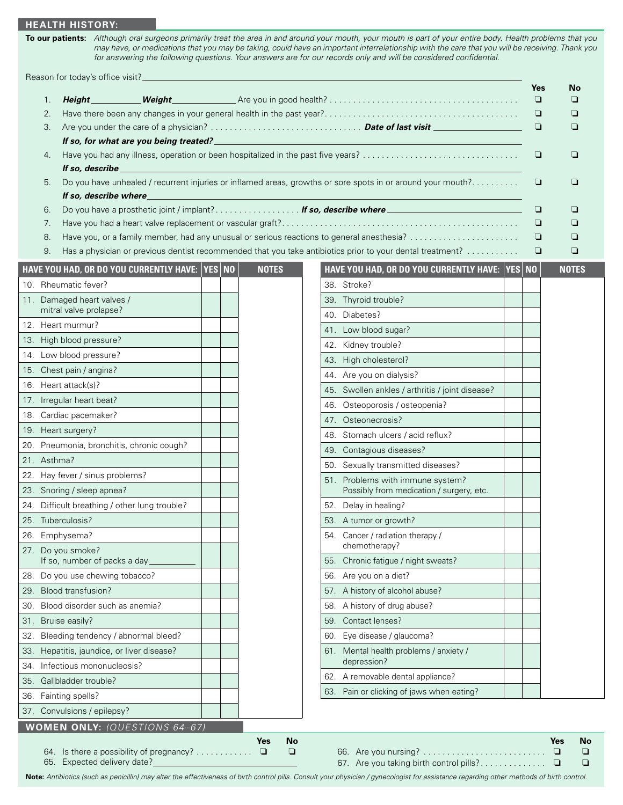## **Health history:**

**To our patients:** *Although oral surgeons primarily treat the area in and around your mouth, your mouth is part of your entire body. Health problems that you may have, or medications that you may be taking, could have an important interrelationship with the care that you will be receiving. Thank you for answering the following questions. Your answers are for our records only and will be considered confidential.*

Reason for today's office visit?

|     | 1.          | Height_                                                   | Weight_                                        |              |                                                                                                             | Yes<br>$\Box$ | No<br>◘      |  |
|-----|-------------|-----------------------------------------------------------|------------------------------------------------|--------------|-------------------------------------------------------------------------------------------------------------|---------------|--------------|--|
|     | 2.          |                                                           |                                                |              |                                                                                                             | ❏             | ❏            |  |
|     | 3.          | If so, for what are you being treated?<br>If so, describe |                                                |              |                                                                                                             |               |              |  |
|     | 4.          |                                                           |                                                |              |                                                                                                             |               |              |  |
|     |             |                                                           |                                                |              |                                                                                                             |               |              |  |
|     | 5.          | If so, describe where                                     |                                                |              | Do you have unhealed / recurrent injuries or inflamed areas, growths or sore spots in or around your mouth? | ❏             | ❏            |  |
|     | 6.          |                                                           |                                                |              | Do you have a prosthetic joint / implant? If so, describe where                                             | ❏             | ❏            |  |
|     | 7.          |                                                           |                                                |              |                                                                                                             | ❏             | ❏            |  |
|     | 8.          |                                                           |                                                |              | Have you, or a family member, had any unusual or serious reactions to general anesthesia?                   | ❏             | ❏            |  |
|     | 9.          |                                                           |                                                |              | Has a physician or previous dentist recommended that you take antibiotics prior to your dental treatment?   | ❏             | ❏            |  |
|     |             |                                                           | HAVE YOU HAD, OR DO YOU CURRENTLY HAVE: YES NO | <b>NOTES</b> | HAVE YOU HAD, OR DO YOU CURRENTLY HAVE: YES NO                                                              |               | <b>NOTES</b> |  |
|     |             | 10. Rheumatic fever?                                      |                                                |              | 38. Stroke?                                                                                                 |               |              |  |
|     |             | 11. Damaged heart valves /                                |                                                |              | 39. Thyroid trouble?                                                                                        |               |              |  |
|     |             | mitral valve prolapse?                                    |                                                |              | 40. Diabetes?                                                                                               |               |              |  |
|     |             | 12. Heart murmur?                                         |                                                |              | 41. Low blood sugar?                                                                                        |               |              |  |
|     |             | 13. High blood pressure?                                  |                                                |              | 42. Kidney trouble?                                                                                         |               |              |  |
|     |             | 14. Low blood pressure?                                   |                                                |              | 43. High cholesterol?                                                                                       |               |              |  |
|     |             | 15. Chest pain / angina?                                  |                                                |              | 44. Are you on dialysis?                                                                                    |               |              |  |
|     |             | 16. Heart attack(s)?                                      |                                                |              | 45. Swollen ankles / arthritis / joint disease?                                                             |               |              |  |
|     |             | 17. Irregular heart beat?                                 |                                                |              | Osteoporosis / osteopenia?<br>46.                                                                           |               |              |  |
|     |             | 18. Cardiac pacemaker?                                    |                                                |              | 47. Osteonecrosis?                                                                                          |               |              |  |
|     |             | 19. Heart surgery?                                        |                                                |              | 48. Stomach ulcers / acid reflux?                                                                           |               |              |  |
|     |             | 20. Pneumonia, bronchitis, chronic cough?                 |                                                |              | 49. Contagious diseases?                                                                                    |               |              |  |
|     | 21. Asthma? |                                                           |                                                |              | 50. Sexually transmitted diseases?                                                                          |               |              |  |
|     |             | 22. Hay fever / sinus problems?                           |                                                |              | 51. Problems with immune system?                                                                            |               |              |  |
|     |             | 23. Snoring / sleep apnea?                                |                                                |              | Possibly from medication / surgery, etc.                                                                    |               |              |  |
|     |             | 24. Difficult breathing / other lung trouble?             |                                                |              | 52. Delay in healing?                                                                                       |               |              |  |
|     |             | 25. Tuberculosis?                                         |                                                |              | 53. A tumor or growth?                                                                                      |               |              |  |
|     |             | 26. Emphysema?                                            |                                                |              | 54. Cancer / radiation therapy /                                                                            |               |              |  |
|     |             | 27. Do you smoke?<br>If so, number of packs a day_        |                                                |              | chemotherapy?<br>55. Chronic fatigue / night sweats?                                                        |               |              |  |
|     |             | 28. Do you use chewing tobacco?                           |                                                |              | 56. Are you on a diet?                                                                                      |               |              |  |
| 29. |             | Blood transfusion?                                        |                                                |              | 57. A history of alcohol abuse?                                                                             |               |              |  |
| 30. |             | Blood disorder such as anemia?                            |                                                |              | 58. A history of drug abuse?                                                                                |               |              |  |
| 31. |             | Bruise easily?                                            |                                                |              | Contact lenses?<br>59.                                                                                      |               |              |  |
| 32. |             | Bleeding tendency / abnormal bleed?                       |                                                |              | Eye disease / glaucoma?<br>60.                                                                              |               |              |  |
| 33. |             | Hepatitis, jaundice, or liver disease?                    |                                                |              | 61. Mental health problems / anxiety /                                                                      |               |              |  |
| 34. |             | Infectious mononucleosis?                                 |                                                |              | depression?                                                                                                 |               |              |  |
| 35. |             | Gallbladder trouble?                                      |                                                |              | 62. A removable dental appliance?                                                                           |               |              |  |
|     |             | 36. Fainting spells?                                      |                                                |              | 63. Pain or clicking of jaws when eating?                                                                   |               |              |  |
|     |             | 37. Convulsions / epilepsy?                               |                                                |              |                                                                                                             |               |              |  |
|     |             |                                                           | WOMEN ONLY: (QUESTIONS 64-67)                  |              |                                                                                                             |               |              |  |

**Note:** *Antibiotics (such as penicillin) may alter the effectiveness of birth control pills. Consult your physician / gynecologist for assistance regarding other methods of birth control.*